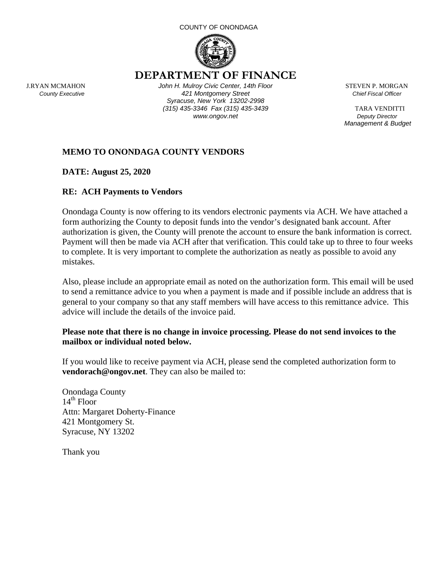#### COUNTY OF ONONDAGA



 **DEPARTMENT OF FINANCE** 

J.RYAN MCMAHON *John H. Mulroy Civic Center, 14th Floor* STEVEN P. MORGAN  *County Executive 421 Montgomery Street Chief Fiscal Officer Syracuse, New York 13202-2998 (315) 435-3346 Fax (315) 435-3439* TARA VENDITTI *WWW.ongov.net Deputy Director* 

 *Management & Budget*

## **MEMO TO ONONDAGA COUNTY VENDORS**

**DATE: August 25, 2020** 

### **RE: ACH Payments to Vendors**

Onondaga County is now offering to its vendors electronic payments via ACH. We have attached a form authorizing the County to deposit funds into the vendor's designated bank account. After authorization is given, the County will prenote the account to ensure the bank information is correct. Payment will then be made via ACH after that verification. This could take up to three to four weeks to complete. It is very important to complete the authorization as neatly as possible to avoid any mistakes.

Also, please include an appropriate email as noted on the authorization form. This email will be used to send a remittance advice to you when a payment is made and if possible include an address that is general to your company so that any staff members will have access to this remittance advice. This advice will include the details of the invoice paid.

#### **Please note that there is no change in invoice processing. Please do not send invoices to the mailbox or individual noted below.**

If you would like to receive payment via ACH, please send the completed authorization form to **vendorach@ongov.net**. They can also be mailed to:

Onondaga County  $14<sup>th</sup>$  Floor Attn: Margaret Doherty-Finance 421 Montgomery St. Syracuse, NY 13202

Thank you